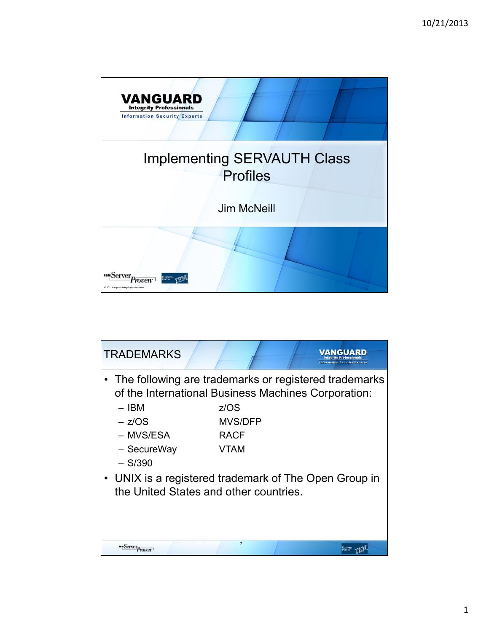

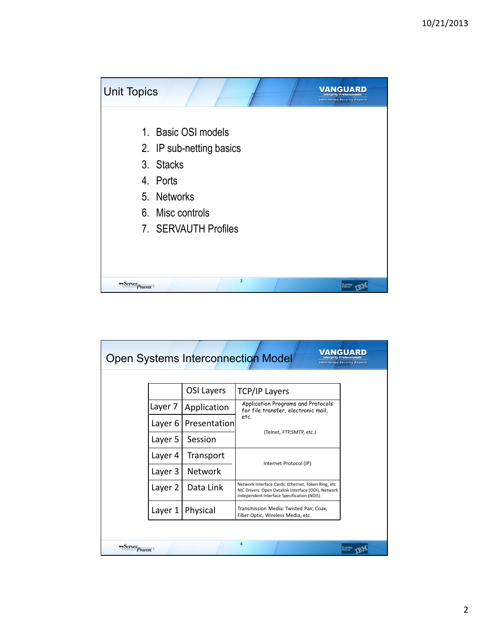

| VANGUARD<br><b>Open Systems Interconnection Model</b><br><b>Information Security Experts</b> |  |                   |                                                                                                                                                         |  |
|----------------------------------------------------------------------------------------------|--|-------------------|---------------------------------------------------------------------------------------------------------------------------------------------------------|--|
|                                                                                              |  |                   |                                                                                                                                                         |  |
|                                                                                              |  | <b>OSI Layers</b> | <b>TCP/IP Layers</b>                                                                                                                                    |  |
| Layer 7                                                                                      |  | Application       | Application Programs and Protocols<br>for file transfer, electronic mail,                                                                               |  |
| Layer 6                                                                                      |  | Presentation      | etc.<br>(Telnet, FTP,SMTP, etc.)                                                                                                                        |  |
| Layer 5                                                                                      |  | Session           |                                                                                                                                                         |  |
| Layer 4                                                                                      |  | Transport         | Internet Protocol (IP)                                                                                                                                  |  |
| Layer 3                                                                                      |  | <b>Network</b>    |                                                                                                                                                         |  |
| Layer 2                                                                                      |  | Data Link         | Network Interface Cards: Ethernet, Token-Ring, etc<br>NIC Drivers: Open Datalink Interface (ODI), Network<br>Independent Interface Specification (NDIS) |  |
| Layer 1                                                                                      |  | Physical          | Transmission Media: Twisted Pair, Coax,<br>Fiber Optic, Wireless Media, etc.                                                                            |  |
|                                                                                              |  |                   |                                                                                                                                                         |  |
| <i>Proven</i>                                                                                |  |                   | 4                                                                                                                                                       |  |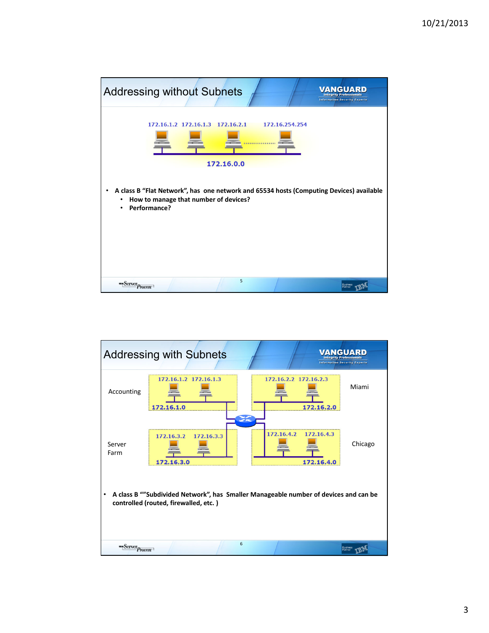

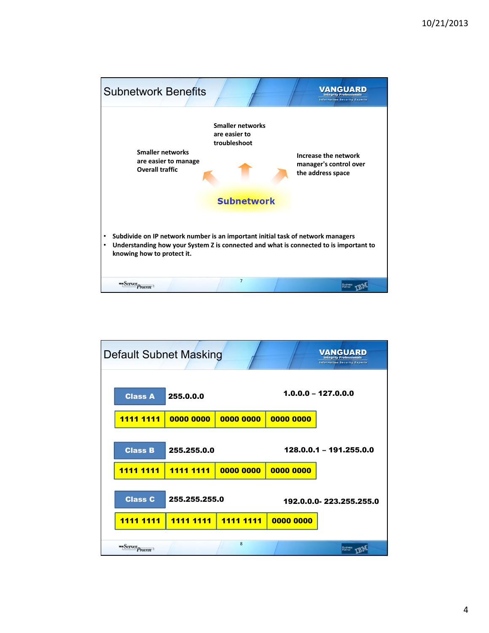

| 255.0.0.0<br>0000 0000<br>255.255.0.0<br><u>1111 1111</u><br>255.255.255.0<br><u>1111 1111</u> |  | Default Subnet Masking<br><b>Class A</b><br><u>1111 1111</u><br><b>Class B</b><br><u>1111 1111</u><br><b>Class C</b><br><b>1111</b><br><b>1111</b><br>"Server <sub>Proven</sub> |
|------------------------------------------------------------------------------------------------|--|---------------------------------------------------------------------------------------------------------------------------------------------------------------------------------|
|------------------------------------------------------------------------------------------------|--|---------------------------------------------------------------------------------------------------------------------------------------------------------------------------------|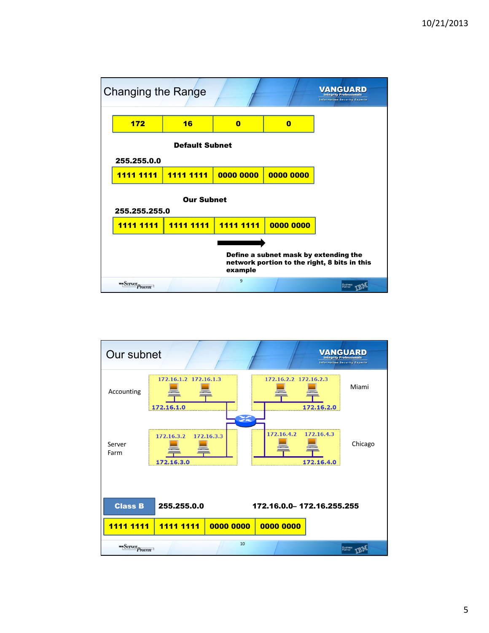

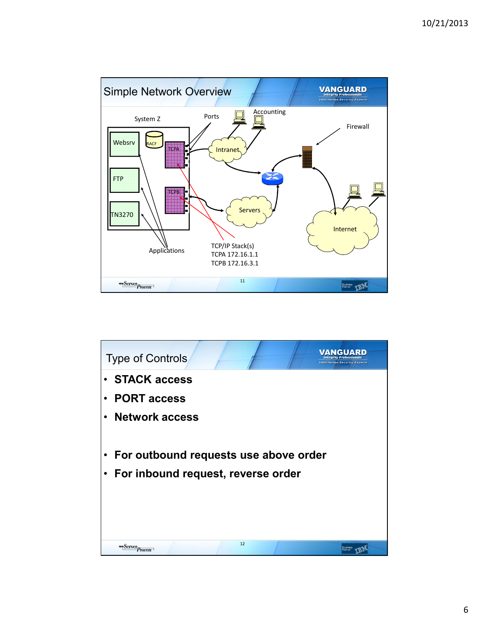

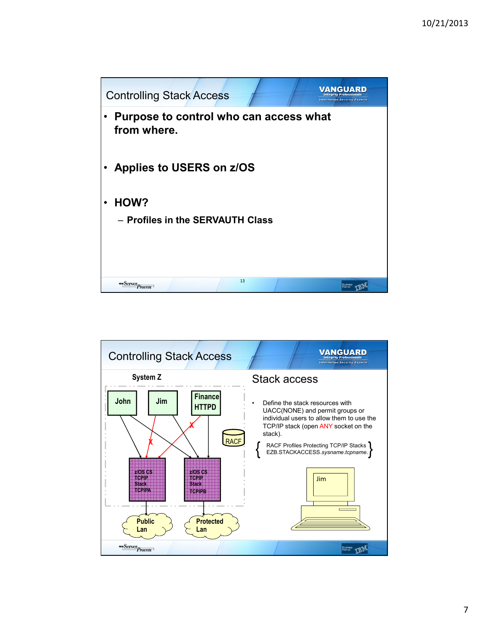

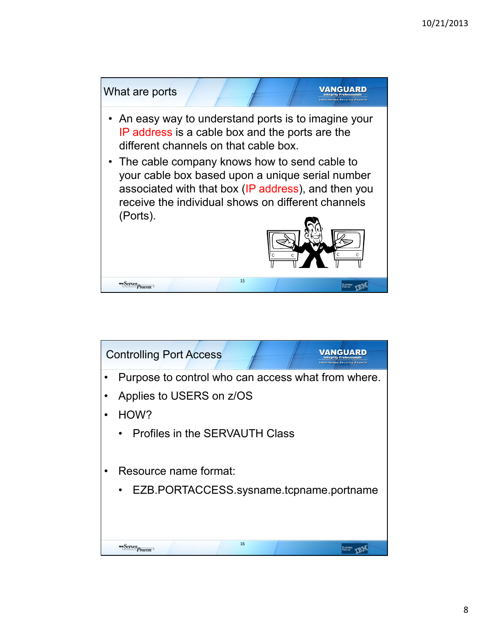

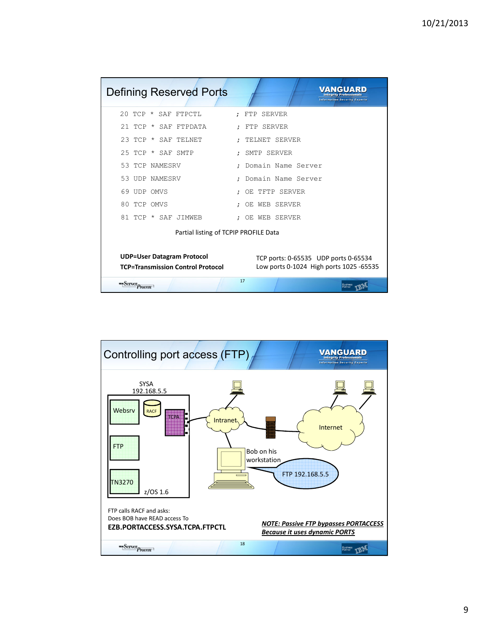| <b>Defining Reserved Ports</b>                                                                                                                                   | <b>Integrity Professionals</b><br><b>Information Security Experts</b> |  |  |
|------------------------------------------------------------------------------------------------------------------------------------------------------------------|-----------------------------------------------------------------------|--|--|
| 20 TCP * SAF FTPCTL                                                                                                                                              | : FTP SERVER                                                          |  |  |
| 21 TCP * SAF FTPDATA                                                                                                                                             | : FTP SERVER                                                          |  |  |
| 23 TCP * SAF TELNET                                                                                                                                              | TELNET SERVER                                                         |  |  |
| 25 TCP * SAF SMTP                                                                                                                                                | : SMTP SERVER                                                         |  |  |
| 53 TCP NAMESRV                                                                                                                                                   | Domain Name Server                                                    |  |  |
| 53 UDP NAMESRV                                                                                                                                                   | Domain Name Server                                                    |  |  |
| 69 UDP OMVS                                                                                                                                                      | OE TFTP SERVER<br>$\ddot{ }$                                          |  |  |
| 80 TCP OMVS                                                                                                                                                      | : OE WEB SERVER                                                       |  |  |
| 81 TCP * SAF JIMWEB                                                                                                                                              | : OE WEB SERVER                                                       |  |  |
| Partial listing of TCPIP PROFILE Data                                                                                                                            |                                                                       |  |  |
| <b>UDP=User Datagram Protocol</b><br>TCP ports: 0-65535 UDP ports 0-65534<br><b>TCP=Transmission Control Protocol</b><br>Low ports 0-1024 High ports 1025 -65535 |                                                                       |  |  |
| <b>Server</b> Proven                                                                                                                                             | 17                                                                    |  |  |

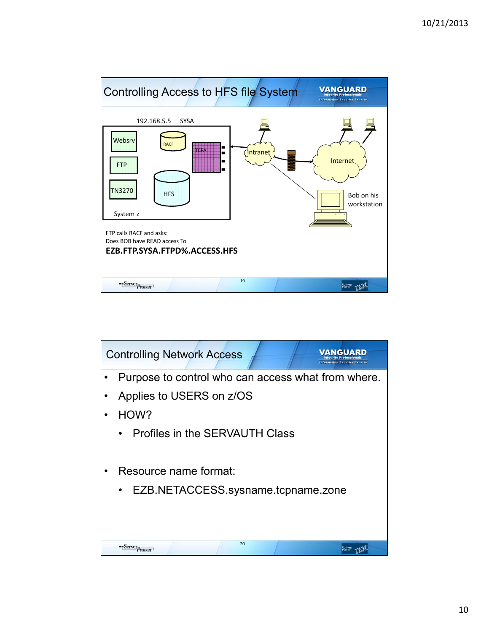

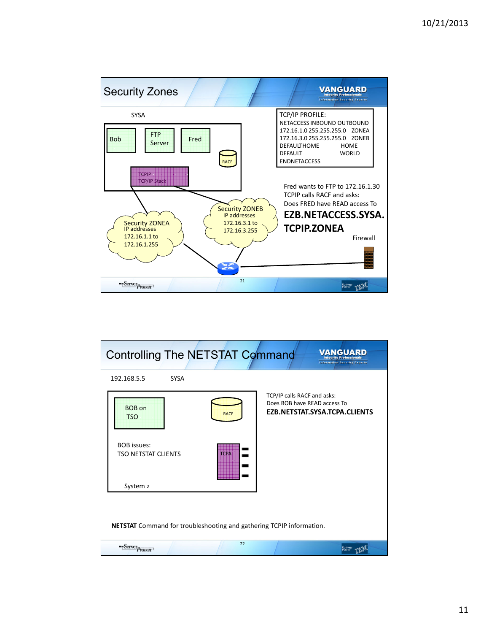

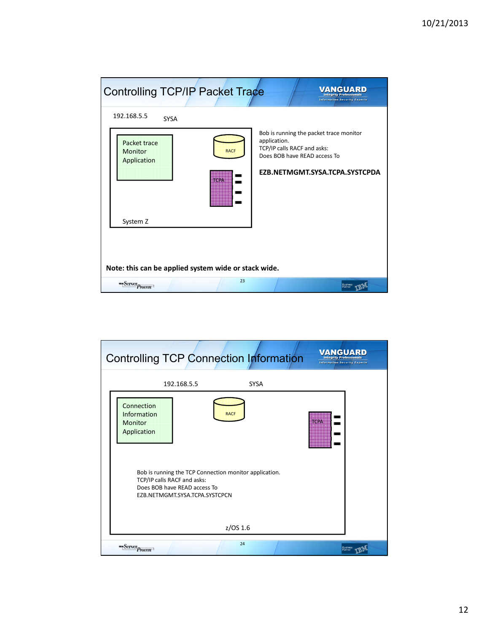| <b>Controlling TCP/IP Packet Trace</b>                                      | NGUARD<br><b>Information Security Experts</b>                                                                                                            |  |  |
|-----------------------------------------------------------------------------|----------------------------------------------------------------------------------------------------------------------------------------------------------|--|--|
| 192.168.5.5<br><b>SYSA</b>                                                  |                                                                                                                                                          |  |  |
| Packet trace<br><b>RACF</b><br><b>Monitor</b><br>Application<br><b>TCPA</b> | Bob is running the packet trace monitor<br>application.<br>TCP/IP calls RACF and asks:<br>Does BOB have READ access To<br>EZB.NETMGMT.SYSA.TCPA.SYSTCPDA |  |  |
| System Z                                                                    |                                                                                                                                                          |  |  |
| Note: this can be applied system wide or stack wide.<br>23                  |                                                                                                                                                          |  |  |
| "Server <sub>Proven</sub>                                                   |                                                                                                                                                          |  |  |

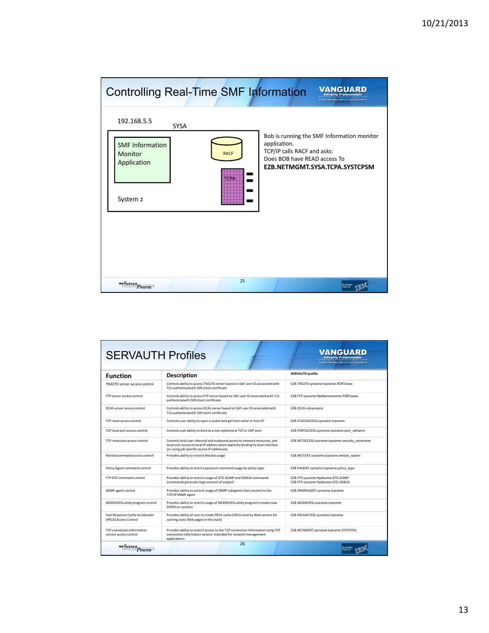| Controlling Real-Time SMF Information                                                             |                            | VANGUARD<br><b>Information Security Experts</b>                                                                                                             |
|---------------------------------------------------------------------------------------------------|----------------------------|-------------------------------------------------------------------------------------------------------------------------------------------------------------|
| 192.168.5.5<br><b>SYSA</b><br><b>SMF Information</b><br><b>Monitor</b><br>Application<br>System z | <b>RACF</b><br><b>TCPA</b> | Bob is running the SMF Information monitor<br>application.<br>TCP/IP calls RACF and asks:<br>Does BOB have READ access To<br>EZB.NETMGMT.SYSA.TCPA.SYSTCPSM |
| "Server Proven                                                                                    | 25                         |                                                                                                                                                             |

| <b>SERVAUTH Profiles</b>                                 |                                                                                                                                                                                                              | VANGUARD<br><b>Integrity Professional:</b><br><b>Information Security Experts</b> |
|----------------------------------------------------------|--------------------------------------------------------------------------------------------------------------------------------------------------------------------------------------------------------------|-----------------------------------------------------------------------------------|
| <b>Function</b>                                          | <b>Description</b>                                                                                                                                                                                           | <b>SERVAUTH profile</b>                                                           |
| TN3270 server access control                             | Controls ability to access TN3270 server based on SAF user ID associated with<br>TLS-authenticated X-509 client certificate                                                                                  | EZB.TN3270.sysname.tcpname.PORTxxxxx                                              |
| FTP server access control                                | Controls ability to access FTP server based on SAF user ID associated with TLS-<br>authenticated X-509 client certificate                                                                                    | EZB.FTP.sysname.ftpdaemonname.PORTxxxxx                                           |
| DCAS server access control                               | Controls ability to access DCAS server based on SAF user ID associated with<br>TLS-authenticated X.509 client certificate                                                                                    | EZB.DCAS.cvtsvsname                                                               |
| TCP stack access control                                 | Controls user ability to open a socket and get host name or host ID                                                                                                                                          | EZB.STACKACCESS.sysname.tcpname                                                   |
| TCP local port access control                            | Controls user ability to bind to a non-ephemeral TCP or UDP port                                                                                                                                             | EZB.PORTACCESS.sysname.tcpname.port safname                                       |
| TCP netaccess access control                             | Controls local user inbound and outbound access to network resources, and<br>local user access to local IP address when explicitly binding to local interface<br>(or using job-specific source IP addresses) | EZB.NETACCESS.sysname.tcpname.security_zonename                                   |
| Netstat command access control                           | Provides ability to restrict Netstat usage                                                                                                                                                                   | EZB.NETSTAT.sysname.tcpname.netstat_option                                        |
| Policy Agent command control                             | Provides ability to restrict pasearch command usage by policy type                                                                                                                                           | EZB.PAGENT.sysname.tcpname.policy type                                            |
| <b>FTP SITE command control</b>                          | Provides ability to restrict usage of SITE DUMP and DEBUG commands<br>(commands generate large amount of output)                                                                                             | EZB.FTP.sysname.ftpdname.SITE.DUMP<br>EZB.FTP.sysname.ftpdname.SITE.DEBUG         |
| SNMP agent control                                       | Provides ability to control usage of SNMP subagents that connect to the<br>TCP/IP SNMP agent                                                                                                                 | EZB.SNMPAGENT.sysname.tcpname                                                     |
| MODDVIPA utility program control                         | Provides ability to restrict usage of MODDVIPA utility program (creates new<br>DVIPA on system)                                                                                                              | EZB.MODDVIPA.sysname.tcpname                                                      |
| Fast Response Cache Accelerator<br>(FRCA) Access Control | Provides ability of user to create FRCA cache (FRCA used by Web servers for<br>caching static Web pages in the stack)                                                                                        | EZB.FRCAACCESS.sysname.tcpname                                                    |
| TCP connection information<br>service access control.    | Provides ability to restrict access to the TCP connection information using TCP<br>connection information service: intended for network management<br>applications.                                          | EZB.NETMGMT.sysname.tcpname.SYSTCPCN                                              |
| "Server <sub>Proven</sub>                                | 26                                                                                                                                                                                                           |                                                                                   |